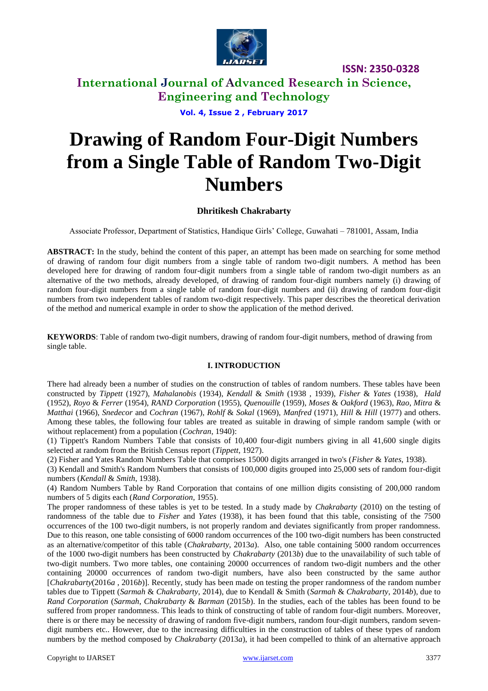

## **International Journal of Advanced Research in Science, Engineering and Technology**

**Vol. 4, Issue 2 , February 2017**

# **Drawing of Random Four-Digit Numbers from a Single Table of Random Two-Digit Numbers**

#### **Dhritikesh Chakrabarty**

Associate Professor, Department of Statistics, Handique Girls' College, Guwahati – 781001, Assam, India

**ABSTRACT:** In the study, behind the content of this paper, an attempt has been made on searching for some method of drawing of random four digit numbers from a single table of random two-digit numbers. A method has been developed here for drawing of random four-digit numbers from a single table of random two-digit numbers as an alternative of the two methods, already developed, of drawing of random four-digit numbers namely (i) drawing of random four-digit numbers from a single table of random four-digit numbers and (ii) drawing of random four-digit numbers from two independent tables of random two-digit respectively. This paper describes the theoretical derivation of the method and numerical example in order to show the application of the method derived.

**KEYWORDS**: Table of random two-digit numbers, drawing of random four-digit numbers, method of drawing from single table.

#### **I. INTRODUCTION**

There had already been a number of studies on the construction of tables of random numbers. These tables have been constructed by *Tippett* (1927), *Mahalanobis* (1934), *Kendall* & *Smith* (1938 , 1939), *Fisher* & *Yates* (1938), *Hald* (1952), *Royo* & *Ferrer* (1954), *RAND Corporation* (1955), *Quenouille* (1959), *Moses* & *Oakford* (1963), *Rao*, *Mitra* & *Matthai* (1966), *Snedecor* and *Cochran* (1967), *Rohlf* & *Sokal* (1969), *Manfred* (1971), *Hill* & *Hill* (1977) and others. Among these tables, the following four tables are treated as suitable in drawing of simple random sample (with or without replacement) from a population (*Cochran*, 1940):

(1) Tippett's Random Numbers Table that consists of 10,400 four-digit numbers giving in all 41,600 single digits selected at random from the British Census report (*Tippett*, 1927).

(2) Fisher and Yates Random Numbers Table that comprises 15000 digits arranged in two's (*Fisher* & *Yates*, 1938).

(3) Kendall and Smith's Random Numbers that consists of 100,000 digits grouped into 25,000 sets of random four-digit numbers (*Kendall* & *Smith*, 1938).

(4) Random Numbers Table by Rand Corporation that contains of one million digits consisting of 200,000 random numbers of 5 digits each (*Rand Corporation*, 1955).

The proper randomness of these tables is yet to be tested. In a study made by *Chakrabarty* (2010) on the testing of randomness of the table due to *Fisher* and *Yates* (1938), it has been found that this table, consisting of the 7500 occurrences of the 100 two-digit numbers, is not properly random and deviates significantly from proper randomness. Due to this reason, one table consisting of 6000 random occurrences of the 100 two-digit numbers has been constructed as an alternative/competitor of this table (*Chakrabarty*, 2013*a*). Also, one table containing 5000 random occurrences of the 1000 two-digit numbers has been constructed by *Chakrabarty* (2013*b*) due to the unavailability of such table of two-digit numbers. Two more tables, one containing 20000 occurrences of random two-digit numbers and the other containing 20000 occurrences of random two-digit numbers, have also been constructed by the same author [*Chakrabarty*(2016*a* , 2016*b*)]. Recently, study has been made on testing the proper randomness of the random number tables due to Tippett (*Sarmah* & *Chakrabarty*, 2014), due to Kendall & Smith (*Sarmah* & *Chakrabarty*, 2014*b*), due to *Rand Corporation* (*Sarmah*, *Chakrabarty* & *Barman* (2015*b*). In the studies, each of the tables has been found to be suffered from proper randomness. This leads to think of constructing of table of random four-digit numbers. Moreover, there is or there may be necessity of drawing of random five-digit numbers, random four-digit numbers, random sevendigit numbers etc.. However, due to the increasing difficulties in the construction of tables of these types of random numbers by the method composed by *Chakrabarty* (2013*a*), it had been compelled to think of an alternative approach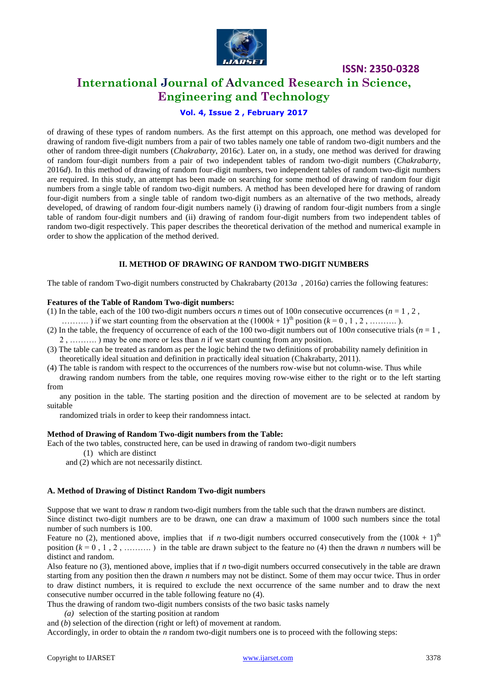

### **International Journal of Advanced Research in Science, Engineering and Technology**

#### **Vol. 4, Issue 2 , February 2017**

of drawing of these types of random numbers. As the first attempt on this approach, one method was developed for drawing of random five-digit numbers from a pair of two tables namely one table of random two-digit numbers and the other of random three-digit numbers (*Chakrabarty*, 2016*c*). Later on, in a study, one method was derived for drawing of random four-digit numbers from a pair of two independent tables of random two-digit numbers (*Chakrabarty*, 2016*d*). In this method of drawing of random four-digit numbers, two independent tables of random two-digit numbers are required. In this study, an attempt has been made on searching for some method of drawing of random four digit numbers from a single table of random two-digit numbers. A method has been developed here for drawing of random four-digit numbers from a single table of random two-digit numbers as an alternative of the two methods, already developed, of drawing of random four-digit numbers namely (i) drawing of random four-digit numbers from a single table of random four-digit numbers and (ii) drawing of random four-digit numbers from two independent tables of random two-digit respectively. This paper describes the theoretical derivation of the method and numerical example in order to show the application of the method derived.

#### **II. METHOD OF DRAWING OF RANDOM TWO-DIGIT NUMBERS**

The table of random Two-digit numbers constructed by Chakrabarty (2013*a* , 2016*a*) carries the following features:

#### **Features of the Table of Random Two-digit numbers:**

(1) In the table, each of the 100 two-digit numbers occurs *n* times out of 100*n* consecutive occurrences ( $n = 1, 2, ...$ )

- ...........) if we start counting from the observation at the  $(1000k + 1)$ <sup>th</sup> position ( $k = 0, 1, 2,$  ..........).
- (2) In the table, the frequency of occurrence of each of the 100 two-digit numbers out of 100*n* consecutive trials ( $n = 1$ , 2 , ………. ) may be one more or less than *n* if we start counting from any position.
- (3) The table can be treated as random as per the logic behind the two definitions of probability namely definition in theoretically ideal situation and definition in practically ideal situation (Chakrabarty, 2011).
- (4) The table is random with respect to the occurrences of the numbers row-wise but not column-wise. Thus while

 drawing random numbers from the table, one requires moving row-wise either to the right or to the left starting from

 any position in the table. The starting position and the direction of movement are to be selected at random by suitable

randomized trials in order to keep their randomness intact.

#### **Method of Drawing of Random Two-digit numbers from the Table:**

Each of the two tables, constructed here, can be used in drawing of random two-digit numbers

(1) which are distinct

and (2) which are not necessarily distinct.

#### **A. Method of Drawing of Distinct Random Two-digit numbers**

Suppose that we want to draw *n* random two-digit numbers from the table such that the drawn numbers are distinct. Since distinct two-digit numbers are to be drawn, one can draw a maximum of 1000 such numbers since the total number of such numbers is 100.

Feature no (2), mentioned above, implies that if *n* two-digit numbers occurred consecutively from the  $(100k + 1)$ <sup>th</sup> position  $(k = 0, 1, 2, \dots, k)$  in the table are drawn subject to the feature no (4) then the drawn *n* numbers will be distinct and random.

Also feature no (3), mentioned above, implies that if *n* two-digit numbers occurred consecutively in the table are drawn starting from any position then the drawn *n* numbers may not be distinct. Some of them may occur twice. Thus in order to draw distinct numbers, it is required to exclude the next occurrence of the same number and to draw the next consecutive number occurred in the table following feature no (4).

Thus the drawing of random two-digit numbers consists of the two basic tasks namely

*(a)* selection of the starting position at random

and (*b*) selection of the direction (right or left) of movement at random.

Accordingly, in order to obtain the *n* random two-digit numbers one is to proceed with the following steps: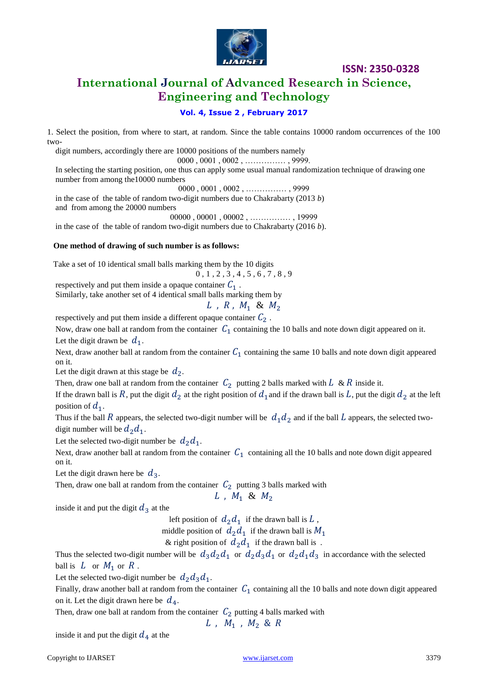

# **International Journal of Advanced Research in Science, Engineering and Technology**

#### **Vol. 4, Issue 2 , February 2017**

1. Select the position, from where to start, at random. Since the table contains 10000 random occurrences of the 100 two-

digit numbers, accordingly there are 10000 positions of the numbers namely

0000 , 0001 , 0002 , …………… , 9999.

 In selecting the starting position, one thus can apply some usual manual randomization technique of drawing one number from among the10000 numbers

0000 , 0001 , 0002 , …………… , 9999

 in the case of the table of random two-digit numbers due to Chakrabarty (2013 *b*) and from among the 20000 numbers

00000 , 00001 , 00002 , …………… , 19999

in the case of the table of random two-digit numbers due to Chakrabarty (2016 *b*).

#### **One method of drawing of such number is as follows:**

Take a set of 10 identical small balls marking them by the 10 digits

0 , 1 , 2 , 3 , 4 , 5 , 6 , 7 , 8 , 9

respectively and put them inside a opaque container  $C_1$ .

Similarly, take another set of 4 identical small balls marking them by

$$
L, R, M_1 \& M_2
$$

respectively and put them inside a different opaque container  $C_2$  .

Now, draw one ball at random from the container  $C_1$  containing the 10 balls and note down digit appeared on it. Let the digit drawn be  $d_1$ .

Next, draw another ball at random from the container  $C_1$  containing the same 10 balls and note down digit appeared on it.

Let the digit drawn at this stage be  $d_2$ .

Then, draw one ball at random from the container  $C_2$  putting 2 balls marked with  $L \& R$  inside it.

If the drawn ball is R, put the digit  $d_2$  at the right position of  $d_1$  and if the drawn ball is L, put the digit  $d_2$  at the left position of  $d_1$ .

Thus if the ball R appears, the selected two-digit number will be  $d_1 d_2$  and if the ball L appears, the selected twodigit number will be  $d_2d_1$ .

Let the selected two-digit number be  $d_2d_1$ .

Next, draw another ball at random from the container  $C_1$  containing all the 10 balls and note down digit appeared on it.

Let the digit drawn here be  $d_3$ .

Then, draw one ball at random from the container  $C_2$  putting 3 balls marked with

$$
L, M_1 \& M_2
$$

inside it and put the digit  $d_3$  at the

left position of  $d_2d_1$  if the drawn ball is L,

middle position of  $d_2d_1$  if the drawn ball is  $M_1$ 

& right position of  $d_2d_1$  if the drawn ball is.

Thus the selected two-digit number will be  $d_3d_2d_1$  or  $d_2d_3d_1$  or  $d_2d_1d_3$  in accordance with the selected ball is  $L$  or  $M_1$  or  $R$ .

Let the selected two-digit number be  $d_2 d_3 d_1$ .

Finally, draw another ball at random from the container  $C_1$  containing all the 10 balls and note down digit appeared on it. Let the digit drawn here be  $d_4$ .

Then, draw one ball at random from the container  $C_2$  putting 4 balls marked with

$$
L, M_1, M_2 & R
$$

inside it and put the digit  $d_4$  at the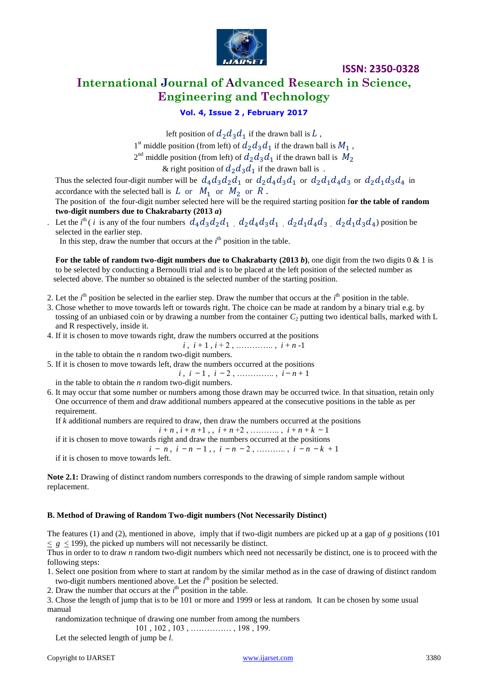

# **International Journal of Advanced Research in Science, Engineering and Technology**

**Vol. 4, Issue 2 , February 2017**

left position of  $d_2 d_3 d_1$  if the drawn ball is L,

1<sup>st</sup> middle position (from left) of  $d_2 d_3 d_1$  if the drawn ball is  $M_1$ ,

 $2<sup>nd</sup>$  middle position (from left) of  $d_2 d_3 d_1$  if the drawn ball is

& right position of  $d_2 d_3 d_1$  if the drawn ball is.

Thus the selected four-digit number will be  $d_4d_3d_2d_1$  or  $d_2d_4d_3d_1$  or  $d_2d_1d_4d_3$  or  $d_2d_1d_3d_4$  in accordance with the selected ball is L or  $M_1$  or  $M_2$  or R.

 The position of the four-digit number selected here will be the required starting position f**or the table of random two-digit numbers due to Chakrabarty (2013** *a***)**

Let the *i*<sup>th</sup> (*i* is any of the four numbers  $d_4d_3d_2d_1$ ,  $d_2d_4d_3d_1$ ,  $d_2d_1d_4d_3$ ,  $d_2d_1d_3d_4$ ) position be selected in the earlier step.

In this step, draw the number that occurs at the  $i<sup>th</sup>$  position in the table.

 **For the table of random two-digit numbers due to Chakrabarty (2013** *b***)**, one digit from the two digits 0 & 1 is to be selected by conducting a Bernoulli trial and is to be placed at the left position of the selected number as selected above. The number so obtained is the selected number of the starting position.

2. Let the  $i<sup>th</sup>$  position be selected in the earlier step. Draw the number that occurs at the  $i<sup>th</sup>$  position in the table.

- 3. Chose whether to move towards left or towards right. The choice can be made at random by a binary trial e.g. by tossing of an unbiased coin or by drawing a number from the container  $C_2$  putting two identical balls, marked with L and R respectively, inside it.
- 4. If it is chosen to move towards right, draw the numbers occurred at the positions
- $i, i+1, i+2, \ldots, i+n-1$

in the table to obtain the *n* random two-digit numbers.

5. If it is chosen to move towards left, draw the numbers occurred at the positions

 $i, i-1, i-2, \ldots, i-n+1$ 

in the table to obtain the *n* random two-digit numbers.

6. It may occur that some number or numbers among those drawn may be occurred twice. In that situation, retain only One occurrence of them and draw additional numbers appeared at the consecutive positions in the table as per requirement.

If *k* additional numbers are required to draw, then draw the numbers occurred at the positions

 $i + n$ ,  $i + n + 1$ , ,  $i + n + 2$ , ………..,  $i + n + k - 1$ 

if it is chosen to move towards right and draw the numbers occurred at the positions

 $i - n$ ,  $i - n - 1$ ,  $i - n - 2$ , ………..,  $i - n - k + 1$ 

if it is chosen to move towards left.

**Note 2.1:** Drawing of distinct random numbers corresponds to the drawing of simple random sample without replacement.

#### **B. Method of Drawing of Random Two-digit numbers (Not Necessarily Distinct)**

The features (1) and (2), mentioned in above,imply that if two-digit numbers are picked up at a gap of *g* positions (101  $\langle g \rangle$  = 199), the picked up numbers will not necessarily be distinct.

Thus in order to to draw *n* random two-digit numbers which need not necessarily be distinct, one is to proceed with the following steps:

1. Select one position from where to start at random by the similar method as in the case of drawing of distinct random two-digit numbers mentioned above. Let the *i*<sup>th</sup> position be selected.

2. Draw the number that occurs at the  $i<sup>th</sup>$  position in the table.

3. Chose the length of jump that is to be 101 or more and 1999 or less at random. It can be chosen by some usual manual

randomization technique of drawing one number from among the numbers

101 , 102 , 103 , …………… , 198 , 199.

Let the selected length of jump be *l*.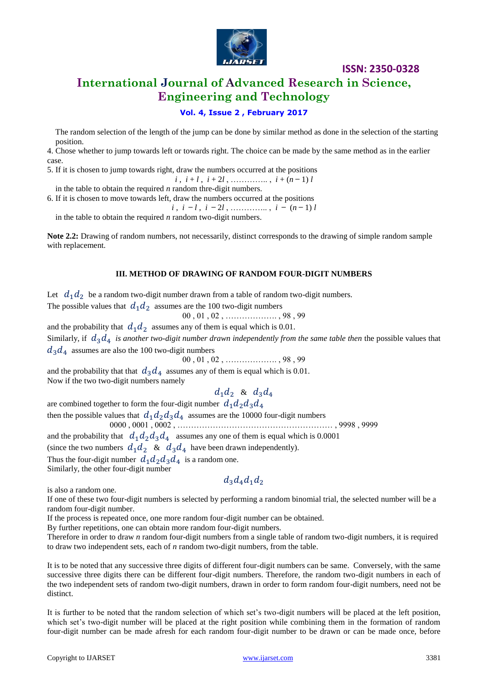

# **International Journal of Advanced Research in Science, Engineering and Technology**

#### **Vol. 4, Issue 2 , February 2017**

 The random selection of the length of the jump can be done by similar method as done in the selection of the starting position.

4. Chose whether to jump towards left or towards right. The choice can be made by the same method as in the earlier case.

5. If it is chosen to jump towards right, draw the numbers occurred at the positions

 $i, i+1, i+2l, \ldots, i+(n-1)l$ 

in the table to obtain the required *n* random thre-digit numbers.

6. If it is chosen to move towards left, draw the numbers occurred at the positions

 $i, i - l, i - 2l, \ldots, i - (n - 1)l$ 

in the table to obtain the required *n* random two-digit numbers.

**Note 2.2:** Drawing of random numbers, not necessarily, distinct corresponds to the drawing of simple random sample with replacement.

#### **III. METHOD OF DRAWING OF RANDOM FOUR-DIGIT NUMBERS**

Let  $d_1 d_2$  be a random two-digit number drawn from a table of random two-digit numbers.

The possible values that  $d_1 d_2$  assumes are the 100 two-digit numbers 00 , 01 , 02 , ………………. , 98 , 99

and the probability that  $d_1 d_2$  assumes any of them is equal which is 0.01.

Similarly, if  $d_3d_4$  is another two-digit number drawn independently from the same table then the possible values that  $d_3d_4$  assumes are also the 100 two-digit numbers

00 , 01 , 02 , ………………. , 98 , 99

and the probability that that  $d_3d_4$  assumes any of them is equal which is 0.01. Now if the two two-digit numbers namely

 $d_1d_2$  &  $d_3d_4$ 

are combined together to form the four-digit number  $d_1 d_2 d_3 d_4$ then the possible values that  $d_1 d_2 d_3 d_4$  assumes are the 10000 four-digit numbers 0000 , 0001 , 0002 , ………………………………………………… , 9998 , 9999 and the probability that  $d_1 d_2 d_3 d_4$  assumes any one of them is equal which is 0.0001 (since the two numbers  $d_1 d_2 \& d_3 d_4$  have been drawn independently). Thus the four-digit number  $d_1 d_2 d_3 d_4$  is a random one. Similarly, the other four-digit number

 $d_2d_4d_1d_2$ 

is also a random one.

If one of these two four-digit numbers is selected by performing a random binomial trial, the selected number will be a random four-digit number.

If the process is repeated once, one more random four-digit number can be obtained.

By further repetitions, one can obtain more random four-digit numbers.

Therefore in order to draw *n* random four-digit numbers from a single table of random two-digit numbers, it is required to draw two independent sets, each of *n* random two-digit numbers, from the table.

It is to be noted that any successive three digits of different four-digit numbers can be same. Conversely, with the same successive three digits there can be different four-digit numbers. Therefore, the random two-digit numbers in each of the two independent sets of random two-digit numbers, drawn in order to form random four-digit numbers, need not be distinct.

It is further to be noted that the random selection of which set's two-digit numbers will be placed at the left position, which set's two-digit number will be placed at the right position while combining them in the formation of random four-digit number can be made afresh for each random four-digit number to be drawn or can be made once, before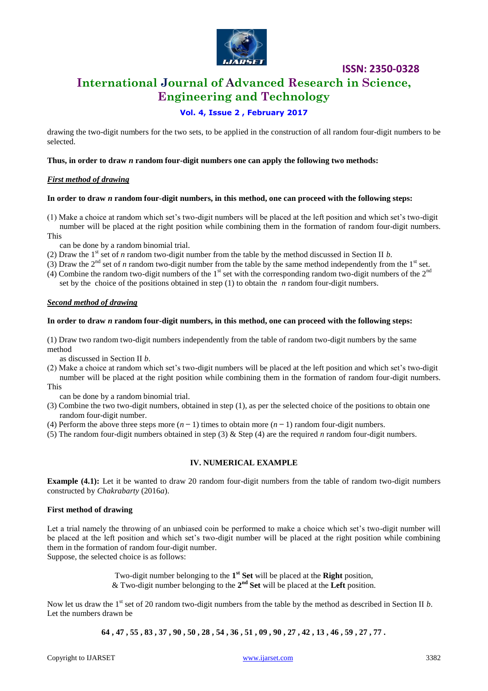

# **International Journal of Advanced Research in Science, Engineering and Technology**

**ISSN: 2350-0328**

#### **Vol. 4, Issue 2 , February 2017**

drawing the two-digit numbers for the two sets, to be applied in the construction of all random four-digit numbers to be selected.

#### **Thus, in order to draw** *n* **random four-digit numbers one can apply the following two methods:**

#### *First method of drawing*

#### **In order to draw** *n* **random four-digit numbers, in this method, one can proceed with the following steps:**

- (1) Make a choice at random which set's two-digit numbers will be placed at the left position and which set's two-digit number will be placed at the right position while combining them in the formation of random four-digit numbers. This
- can be done by a random binomial trial.
- (2) Draw the 1<sup>st</sup> set of *n* random two-digit number from the table by the method discussed in Section II *b*.
- (3) Draw the  $2<sup>nd</sup>$  set of *n* random two-digit number from the table by the same method independently from the  $1<sup>st</sup>$  set.
- (4) Combine the random two-digit numbers of the  $1<sup>st</sup>$  set with the corresponding random two-digit numbers of the  $2<sup>nd</sup>$ set by the choice of the positions obtained in step (1) to obtain the *n* random four-digit numbers.

#### *Second method of drawing*

#### **In order to draw** *n* **random four-digit numbers, in this method, one can proceed with the following steps:**

(1) Draw two random two-digit numbers independently from the table of random two-digit numbers by the same method

as discussed in Section II *b*.

- (2) Make a choice at random which set's two-digit numbers will be placed at the left position and which set's two-digit number will be placed at the right position while combining them in the formation of random four-digit numbers.
- This

can be done by a random binomial trial.

- (3) Combine the two two-digit numbers, obtained in step (1), as per the selected choice of the positions to obtain one random four-digit number.
- (4) Perform the above three steps more  $(n 1)$  times to obtain more  $(n 1)$  random four-digit numbers.
- (5) The random four-digit numbers obtained in step (3) & Step (4) are the required *n* random four-digit numbers.

#### **IV. NUMERICAL EXAMPLE**

**Example (4.1):** Let it be wanted to draw 20 random four-digit numbers from the table of random two-digit numbers constructed by *Chakrabarty* (2016*a*).

#### **First method of drawing**

Let a trial namely the throwing of an unbiased coin be performed to make a choice which set's two-digit number will be placed at the left position and which set's two-digit number will be placed at the right position while combining them in the formation of random four-digit number.

Suppose, the selected choice is as follows:

Two-digit number belonging to the **1 st Set** will be placed at the **Right** position, & Two-digit number belonging to the **2 nd Set** will be placed at the **Left** position.

Now let us draw the  $1<sup>st</sup>$  set of 20 random two-digit numbers from the table by the method as described in Section II *b*. Let the numbers drawn be

**64 , 47 , 55 , 83 , 37 , 90 , 50 , 28 , 54 , 36 , 51 , 09 , 90 , 27 , 42 , 13 , 46 , 59 , 27 , 77 .**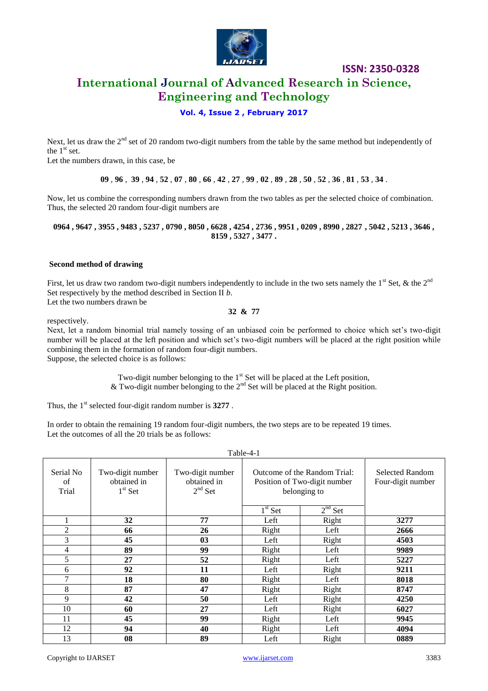

# **International Journal of Advanced Research in Science, Engineering and Technology**

**ISSN: 2350-0328**

#### **Vol. 4, Issue 2 , February 2017**

Next, let us draw the  $2<sup>nd</sup>$  set of 20 random two-digit numbers from the table by the same method but independently of the  $1<sup>st</sup>$  set.

Let the numbers drawn, in this case, be

 $09, 96, 39, 94, 52, 07, 80, 66, 42, 27, 99, 02, 89, 28, 50, 52, 36, 81, 53, 34.$ 

Now, let us combine the corresponding numbers drawn from the two tables as per the selected choice of combination. Thus, the selected 20 random four-digit numbers are

**0964 , 9647 , 3955 , 9483 , 5237 , 0790 , 8050 , 6628 , 4254 , 2736 , 9951 , 0209 , 8990 , 2827 , 5042 , 5213 , 3646 , 8159 , 5327 , 3477 .**

#### **Second method of drawing**

First, let us draw two random two-digit numbers independently to include in the two sets namely the  $1<sup>st</sup>$  Set, & the  $2<sup>nd</sup>$ Set respectively by the method described in Section II *b*. Let the two numbers drawn be

**32 & 77**

respectively.

Next, let a random binomial trial namely tossing of an unbiased coin be performed to choice which set's two-digit number will be placed at the left position and which set's two-digit numbers will be placed at the right position while combining them in the formation of random four-digit numbers. Suppose, the selected choice is as follows:

> Two-digit number belonging to the  $1<sup>st</sup>$  Set will be placed at the Left position, & Two-digit number belonging to the  $2<sup>nd</sup>$  Set will be placed at the Right position.

Thus, the 1<sup>st</sup> selected four-digit random number is 3277.

In order to obtain the remaining 19 random four-digit numbers, the two steps are to be repeated 19 times. Let the outcomes of all the 20 trials be as follows:

| Table-4-1                |                                              |                                              |                                                                              |           |                                             |  |  |  |  |
|--------------------------|----------------------------------------------|----------------------------------------------|------------------------------------------------------------------------------|-----------|---------------------------------------------|--|--|--|--|
| Serial No<br>of<br>Trial | Two-digit number<br>obtained in<br>$1st$ Set | Two-digit number<br>obtained in<br>$2nd$ Set | Outcome of the Random Trial:<br>Position of Two-digit number<br>belonging to |           | <b>Selected Random</b><br>Four-digit number |  |  |  |  |
|                          |                                              |                                              | $1st$ Set                                                                    | $2nd$ Set |                                             |  |  |  |  |
|                          | 32                                           | 77                                           | Left                                                                         | Right     | 3277                                        |  |  |  |  |
| $\overline{2}$           | 66                                           | 26                                           | Right                                                                        | Left      | 2666                                        |  |  |  |  |
| 3                        | 45                                           | 03                                           | Left                                                                         | Right     | 4503                                        |  |  |  |  |
| 4                        | 89                                           | 99                                           | Right                                                                        | Left      | 9989                                        |  |  |  |  |
| 5                        | 27                                           | 52                                           | Right                                                                        | Left      | 5227                                        |  |  |  |  |
| 6                        | 92                                           | 11                                           | Left                                                                         | Right     | 9211                                        |  |  |  |  |
| 7                        | 18                                           | 80                                           | Right                                                                        | Left      | 8018                                        |  |  |  |  |
| 8                        | 87                                           | 47                                           | Right                                                                        | Right     | 8747                                        |  |  |  |  |
| 9                        | 42                                           | 50                                           | Left                                                                         | Right     | 4250                                        |  |  |  |  |
| 10                       | 60                                           | 27                                           | Left                                                                         | Right     | 6027                                        |  |  |  |  |
| 11                       | 45                                           | 99                                           | Right                                                                        | Left      | 9945                                        |  |  |  |  |
| 12                       | 94                                           | 40                                           | Right                                                                        | Left      | 4094                                        |  |  |  |  |
| 13                       | 08                                           | 89                                           | Left                                                                         | Right     | 0889                                        |  |  |  |  |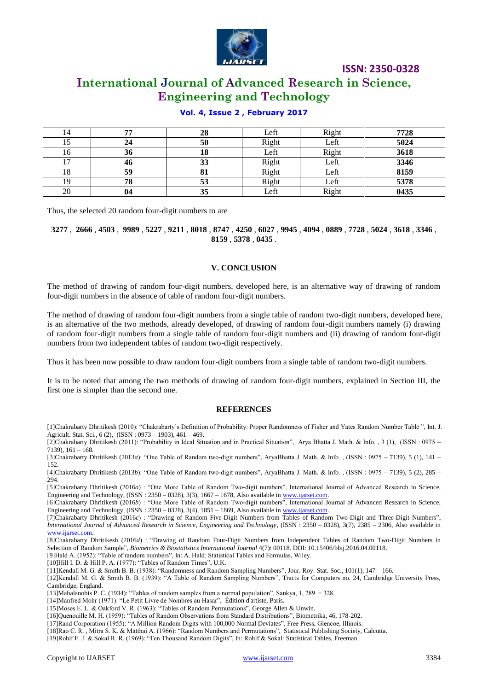

# **International Journal of Advanced Research in Science, Engineering and Technology**

#### **Vol. 4, Issue 2 , February 2017**

| 14             | 77 | 28 | Left  | Right | 7728 |
|----------------|----|----|-------|-------|------|
|                |    | 50 | Right | Left  | 5024 |
| 16             | 36 | 18 | Left  | Right | 3618 |
| 1 <sub>7</sub> | 46 | 33 | Right | Left  | 3346 |
| 18             | 59 | oі | Right | Left  | 8159 |
| 19             | 78 | 53 | Right | Left  | 5378 |
| 20             | 04 | 35 | Left  | Right | 0435 |

Thus, the selected 20 random four-digit numbers to are

3277, 2666, 4503, 9989, 5227, 9211, 8018, 8747, 4250, 6027, 9945, 4094, 0889, 7728, 5024, 3618, 3346, **8159** , **5378** , **0435** .

#### **V. CONCLUSION**

The method of drawing of random four-digit numbers, developed here, is an alternative way of drawing of random four-digit numbers in the absence of table of random four-digit numbers.

The method of drawing of random four-digit numbers from a single table of random two-digit numbers, developed here, is an alternative of the two methods, already developed, of drawing of random four-digit numbers namely (i) drawing of random four-digit numbers from a single table of random four-digit numbers and (ii) drawing of random four-digit numbers from two independent tables of random two-digit respectively.

Thus it has been now possible to draw random four-digit numbers from a single table of random two-digit numbers.

It is to be noted that among the two methods of drawing of random four-digit numbers, explained in Section III, the first one is simpler than the second one.

#### **REFERENCES**

[1]Chakrabarty Dhritikesh (2010): "Chakrabarty's Definition of Probability: Proper Randomness of Fisher and Yates Random Number Table ", Int. J. Agricult. Stat. Sci., 6 (2), (ISSN : 0973 – 1903), 461 – 469.

[2]Chakrabarty Dhritikesh (2011): "Probability in Ideal Situation and in Practical Situation", Arya Bhatta J. Math. & Info. , 3 (1), (ISSN : 0975 – 7139), 161 – 168.

[3]Chakrabarty Dhritikesh (2013*a*): "One Table of Random two-digit numbers", AryaBhatta J. Math. & Info., (ISSN: 0975 – 7139), 5 (1), 141 – 152.

[4]Chakrabarty Dhritikesh (2013*b*): "One Table of Random two-digit numbers", AryaBhatta J. Math. & Info. , (ISSN : 0975 – 7139), 5 (2), 285 –  $294.$ 

[5]Chakrabarty Dhritikesh (2016*a*) : "One More Table of Random Two-digit numbers", International Journal of Advanced Research in Science, Engineering and Technology, (ISSN : 2350 – 0328), 3(3), 1667 – 1678, Also available in [www.ijarset.com.](http://www.ijarset.com/) 

[6]Chakrabarty Dhritikesh (2016*b*) : "One More Table of Random Two-digit numbers", International Journal of Advanced Research in Science, Engineering and Technology, (ISSN : 2350 – 0328), 3(4), 1851 – 1869, Also available in [www.ijarset.com.](http://www.ijarset.com/)

[7]Chakrabarty Dhritikesh (2016*c*) : "Drawing of Random Five-Digit Numbers from Tables of Random Two-Digit and Three-Digit Numbers", *International Journal of Advanced Research in Science, Engineering and Technology*, (ISSN : 2350 – 0328), 3(7), 2385 – 2306, Also available in [www.ijarset.com.](http://www.ijarset.com/)

[8]Chakrabarty Dhritikesh (2016*d*) : "Drawing of Random Four-Digit Numbers from Independent Tables of Random Two-Digit Numbers in Selection of Random Sample", *Biometrics & Biostatistics International Journal* 4(7): 00118. DOI: 10.15406/bbij.2016.04.00118.

[9]Hald A. (1952): "Table of random numbers", In: A. Hald: Statistical Tables and Formulas, Wiley.

[10]Hill I. D. & Hill P. A. (1977): "Tables of Random Times", U.K.

[11]Kendall M. G. & Smith B. B. (1938): "Randomness and Random Sampling Numbers", Jour. Roy. Stat. Soc., 101(1), 147 – 166.

[12]Kendall M. G. & Smith B. B. (1939): "A Table of Random Sampling Numbers", Tracts for Computers no. 24, Cambridge University Press, Cambridge, England.

[13]Mahalanobis P. C. (1934): "Tables of random samples from a normal population", Sankya, 1, 289 - 328.

[14]Manfred Mohr (1971): "Le Petit Livre de Nombres au Hasar", Édition d'artiste, Paris.

[15]Moses E. L. & Oakford V. R. (1963): "Tables of Random Permutations", George Allen & Unwin.

[16]Quenouille M. H. (1959): "Tables of Random Observations from Standard Distributions", Biometrika, 46, 178-202.

[17]Rand Corporation (1955): "A Million Random Digits with 100,000 Normal Deviates", Free Press, Glencoe, Illinois.

[18]Rao C. R. , Mitra S. K. & Matthai A. (1966): "Random Numbers and Permutations", Statistical Publishing Society, Calcutta.

[19]Rohlf F. J. & Sokal R. R. (1969): "Ten Thousand Random Digits", In: Rohlf & Sokal: Statistical Tables, Freeman.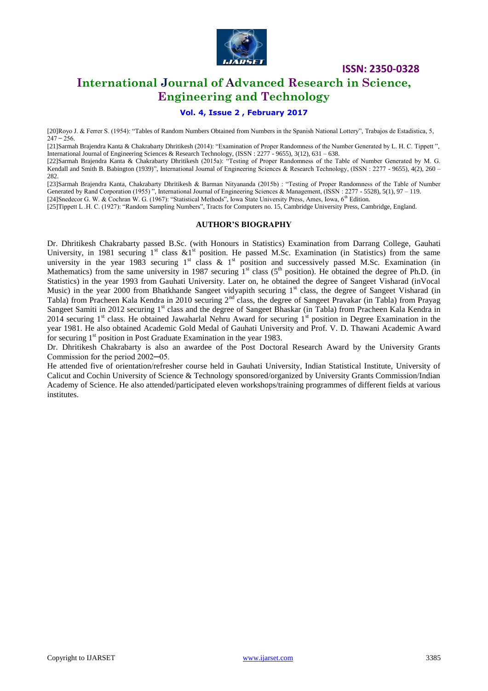

### **International Journal of Advanced Research in Science, Engineering and Technology**

#### **Vol. 4, Issue 2 , February 2017**

[20]Royo J. & Ferrer S. (1954): "Tables of Random Numbers Obtained from Numbers in the Spanish National Lottery", Trabajos de Estadistica, 5,  $247 - 256$ .

[21]Sarmah Brajendra Kanta & Chakrabarty Dhritikesh (2014): "Examination of Proper Randomness of the Number Generated by L. H. C. Tippett ", International Journal of Engineering Sciences & Research Technology, (ISSN : 2277 - 9655), 3(12), 631 – 638.

[22]Sarmah Brajendra Kanta & Chakrabarty Dhritikesh (2015a): "Testing of Proper Randomness of the Table of Number Generated by M. G. Kendall and Smith B. Babington (1939)", International Journal of Engineering Sciences & Research Technology, (ISSN : 2277 - 9655), 4(2), 260 – 282.

[23]Sarmah Brajendra Kanta, Chakrabarty Dhritikesh & Barman Nityananda (2015b) : "Testing of Proper Randomness of the Table of Number Generated by Rand Corporation (1955) ", International Journal of Engineering Sciences & Management, (ISSN : 2277 - 5528), 5(1), 97 – 119. [24]Snedecor G. W. & Cochran W. G. (1967): "Statistical Methods", Iowa State University Press, Ames, Iowa, 6<sup>th</sup> Edition.

[25]Tippett L .H. C. (1927): "Random Sampling Numbers", Tracts for Computers no. 15, Cambridge University Press, Cambridge, England.

#### **AUTHOR'S BIOGRAPHY**

Dr. Dhritikesh Chakrabarty passed B.Sc. (with Honours in Statistics) Examination from Darrang College, Gauhati University, in 1981 securing  $1^{st}$  class  $&1^{st}$  position. He passed M.Sc. Examination (in Statistics) from the same university in the year 1983 securing  $1<sup>st</sup>$  class &  $1<sup>st</sup>$  position and successively passed M.Sc. Examination (in Mathematics) from the same university in 1987 securing  $1<sup>st</sup>$  class (5<sup>th</sup> position). He obtained the degree of Ph.D. (in Statistics) in the year 1993 from Gauhati University. Later on, he obtained the degree of Sangeet Visharad (inVocal Music) in the year 2000 from Bhatkhande Sangeet vidyapith securing 1<sup>st</sup> class, the degree of Sangeet Visharad (in Tabla) from Pracheen Kala Kendra in 2010 securing 2<sup>nd</sup> class, the degree of Sangeet Pravakar (in Tabla) from Prayag Sangeet Samiti in 2012 securing 1<sup>st</sup> class and the degree of Sangeet Bhaskar (in Tabla) from Pracheen Kala Kendra in 2014 securing  $1<sup>st</sup>$  class. He obtained Jawaharlal Nehru Award for securing  $1<sup>st</sup>$  position in Degree Examination in the year 1981. He also obtained Academic Gold Medal of Gauhati University and Prof. V. D. Thawani Academic Award for securing  $1<sup>st</sup>$  position in Post Graduate Examination in the year 1983.

Dr. Dhritikesh Chakrabarty is also an awardee of the Post Doctoral Research Award by the University Grants Commission for the period 2002─05.

He attended five of orientation/refresher course held in Gauhati University, Indian Statistical Institute, University of Calicut and Cochin University of Science & Technology sponsored/organized by University Grants Commission/Indian Academy of Science. He also attended/participated eleven workshops/training programmes of different fields at various institutes.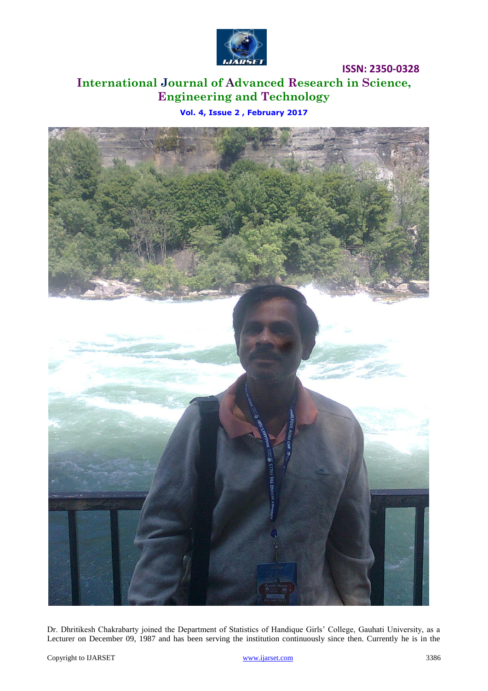

# **International Journal of Advanced Research in Science, Engineering and Technology**

**Vol. 4, Issue 2 , February 2017**



Dr. Dhritikesh Chakrabarty joined the Department of Statistics of Handique Girls' College, Gauhati University, as a Lecturer on December 09, 1987 and has been serving the institution continuously since then. Currently he is in the